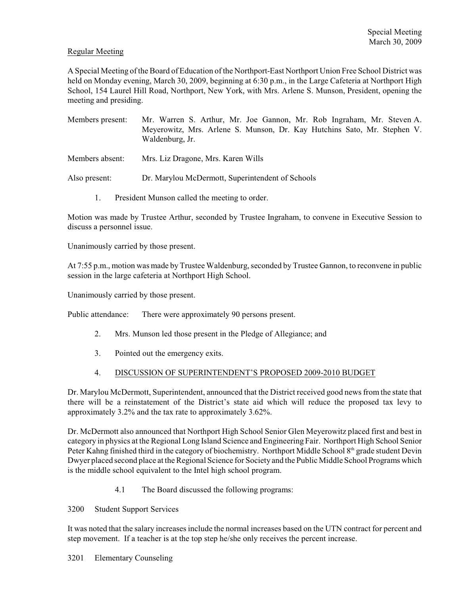# Regular Meeting

A Special Meeting of the Board of Education of the Northport-East Northport Union Free School District was held on Monday evening, March 30, 2009, beginning at 6:30 p.m., in the Large Cafeteria at Northport High School, 154 Laurel Hill Road, Northport, New York, with Mrs. Arlene S. Munson, President, opening the meeting and presiding.

- Members present: Mr. Warren S. Arthur, Mr. Joe Gannon, Mr. Rob Ingraham, Mr. Steven A. Meyerowitz, Mrs. Arlene S. Munson, Dr. Kay Hutchins Sato, Mr. Stephen V. Waldenburg, Jr.
- Members absent: Mrs. Liz Dragone, Mrs. Karen Wills
- Also present: Dr. Marylou McDermott, Superintendent of Schools
	- 1. President Munson called the meeting to order.

Motion was made by Trustee Arthur, seconded by Trustee Ingraham, to convene in Executive Session to discuss a personnel issue.

Unanimously carried by those present.

At 7:55 p.m., motion was made by Trustee Waldenburg, seconded by Trustee Gannon, to reconvene in public session in the large cafeteria at Northport High School.

Unanimously carried by those present.

Public attendance: There were approximately 90 persons present.

- 2. Mrs. Munson led those present in the Pledge of Allegiance; and
- 3. Pointed out the emergency exits.
- 4. DISCUSSION OF SUPERINTENDENT'S PROPOSED 2009-2010 BUDGET

Dr. Marylou McDermott, Superintendent, announced that the District received good news from the state that there will be a reinstatement of the District's state aid which will reduce the proposed tax levy to approximately 3.2% and the tax rate to approximately 3.62%.

Dr. McDermott also announced that Northport High School Senior Glen Meyerowitz placed first and best in category in physics at the Regional Long Island Science and Engineering Fair. Northport High School Senior Peter Kahng finished third in the category of biochemistry. Northport Middle School  $8<sup>th</sup>$  grade student Devin Dwyer placed second place at the Regional Science for Society and the Public Middle School Programs which is the middle school equivalent to the Intel high school program.

4.1 The Board discussed the following programs:

3200 Student Support Services

It was noted that the salary increases include the normal increases based on the UTN contract for percent and step movement. If a teacher is at the top step he/she only receives the percent increase.

3201 Elementary Counseling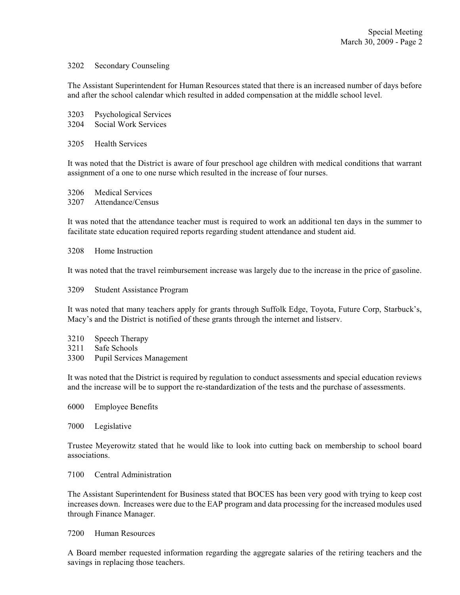### 3202 Secondary Counseling

The Assistant Superintendent for Human Resources stated that there is an increased number of days before and after the school calendar which resulted in added compensation at the middle school level.

| 3203 | <b>Psychological Services</b> |
|------|-------------------------------|
| 3204 | Social Work Services          |

3205 Health Services

It was noted that the District is aware of four preschool age children with medical conditions that warrant assignment of a one to one nurse which resulted in the increase of four nurses.

3206 Medical Services 3207 Attendance/Census

It was noted that the attendance teacher must is required to work an additional ten days in the summer to facilitate state education required reports regarding student attendance and student aid.

#### 3208 Home Instruction

It was noted that the travel reimbursement increase was largely due to the increase in the price of gasoline.

3209 Student Assistance Program

It was noted that many teachers apply for grants through Suffolk Edge, Toyota, Future Corp, Starbuck's, Macy's and the District is notified of these grants through the internet and listserv.

- 3210 Speech Therapy
- 3211 Safe Schools
- 3300 Pupil Services Management

It was noted that the District is required by regulation to conduct assessments and special education reviews and the increase will be to support the re-standardization of the tests and the purchase of assessments.

- 6000 Employee Benefits
- 7000 Legislative

Trustee Meyerowitz stated that he would like to look into cutting back on membership to school board associations.

# 7100 Central Administration

The Assistant Superintendent for Business stated that BOCES has been very good with trying to keep cost increases down. Increases were due to the EAP program and data processing for the increased modules used through Finance Manager.

#### 7200 Human Resources

A Board member requested information regarding the aggregate salaries of the retiring teachers and the savings in replacing those teachers.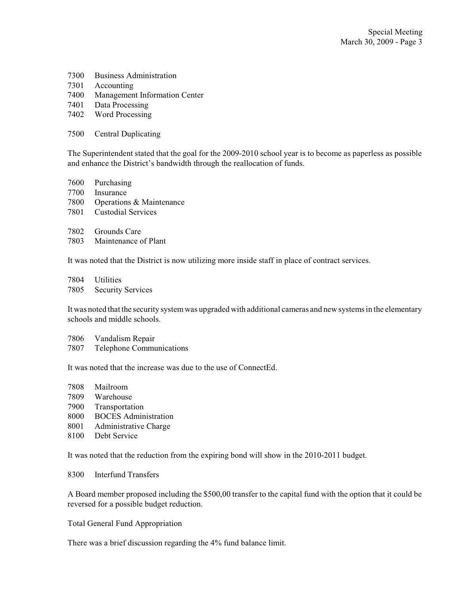- Business Administration
- Accounting
- Management Information Center
- Data Processing
- Word Processing
- Central Duplicating

The Superintendent stated that the goal for the 2009-2010 school year is to become as paperless as possible and enhance the District's bandwidth through the reallocation of funds.

- Purchasing
- Insurance
- Operations & Maintenance
- Custodial Services
- Grounds Care
- Maintenance of Plant

It was noted that the District is now utilizing more inside staff in place of contract services.

Utilities

Security Services

It was noted that the security system was upgraded with additional cameras and new systems in the elementary schools and middle schools.

- Vandalism Repair
- Telephone Communications

It was noted that the increase was due to the use of ConnectEd.

- Mailroom
- Warehouse
- Transportation
- BOCES Administration
- Administrative Charge
- Debt Service

It was noted that the reduction from the expiring bond will show in the 2010-2011 budget.

Interfund Transfers

A Board member proposed including the \$500,00 transfer to the capital fund with the option that it could be reversed for a possible budget reduction.

Total General Fund Appropriation

There was a brief discussion regarding the 4% fund balance limit.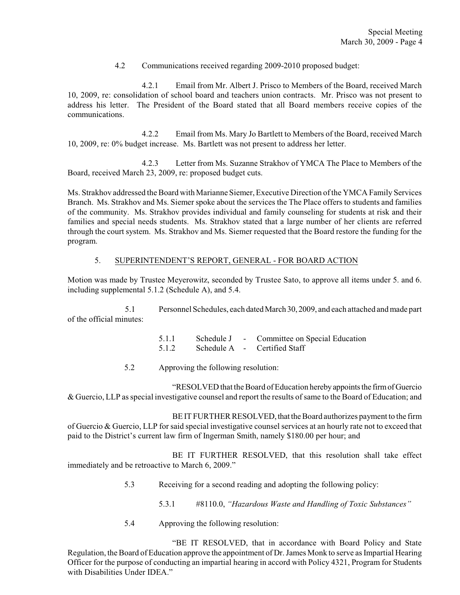# 4.2 Communications received regarding 2009-2010 proposed budget:

4.2.1 Email from Mr. Albert J. Prisco to Members of the Board, received March 10, 2009, re: consolidation of school board and teachers union contracts. Mr. Prisco was not present to address his letter. The President of the Board stated that all Board members receive copies of the communications.

4.2.2 Email from Ms. Mary Jo Bartlett to Members of the Board, received March 10, 2009, re: 0% budget increase. Ms. Bartlett was not present to address her letter.

4.2.3 Letter from Ms. Suzanne Strakhov of YMCA The Place to Members of the Board, received March 23, 2009, re: proposed budget cuts.

Ms. Strakhov addressed the Board with Marianne Siemer, Executive Direction of the YMCA Family Services Branch. Ms. Strakhov and Ms. Siemer spoke about the services the The Place offers to students and families of the community. Ms. Strakhov provides individual and family counseling for students at risk and their families and special needs students. Ms. Strakhov stated that a large number of her clients are referred through the court system. Ms. Strakhov and Ms. Siemer requested that the Board restore the funding for the program.

### 5. SUPERINTENDENT'S REPORT, GENERAL - FOR BOARD ACTION

Motion was made by Trustee Meyerowitz, seconded by Trustee Sato, to approve all items under 5. and 6. including supplemental 5.1.2 (Schedule A), and 5.4.

5.1 Personnel Schedules, each dated March 30, 2009, and each attached and made part of the official minutes:

> 5.1.1 Schedule J - Committee on Special Education 5.1.2 Schedule A - Certified Staff

5.2 Approving the following resolution:

"RESOLVED that the Board of Education hereby appoints the firm of Guercio & Guercio, LLP as special investigative counsel and report the results of same to the Board of Education; and

BE IT FURTHER RESOLVED, that the Board authorizes payment to the firm of Guercio & Guercio, LLP for said special investigative counsel services at an hourly rate not to exceed that paid to the District's current law firm of Ingerman Smith, namely \$180.00 per hour; and

BE IT FURTHER RESOLVED, that this resolution shall take effect immediately and be retroactive to March 6, 2009."

- 5.3 Receiving for a second reading and adopting the following policy:
	- 5.3.1 #8110.0, *"Hazardous Waste and Handling of Toxic Substances"*
- 5.4 Approving the following resolution:

"BE IT RESOLVED, that in accordance with Board Policy and State Regulation, the Board of Education approve the appointment of Dr. James Monk to serve as Impartial Hearing Officer for the purpose of conducting an impartial hearing in accord with Policy 4321, Program for Students with Disabilities Under IDEA<sup>"</sup>